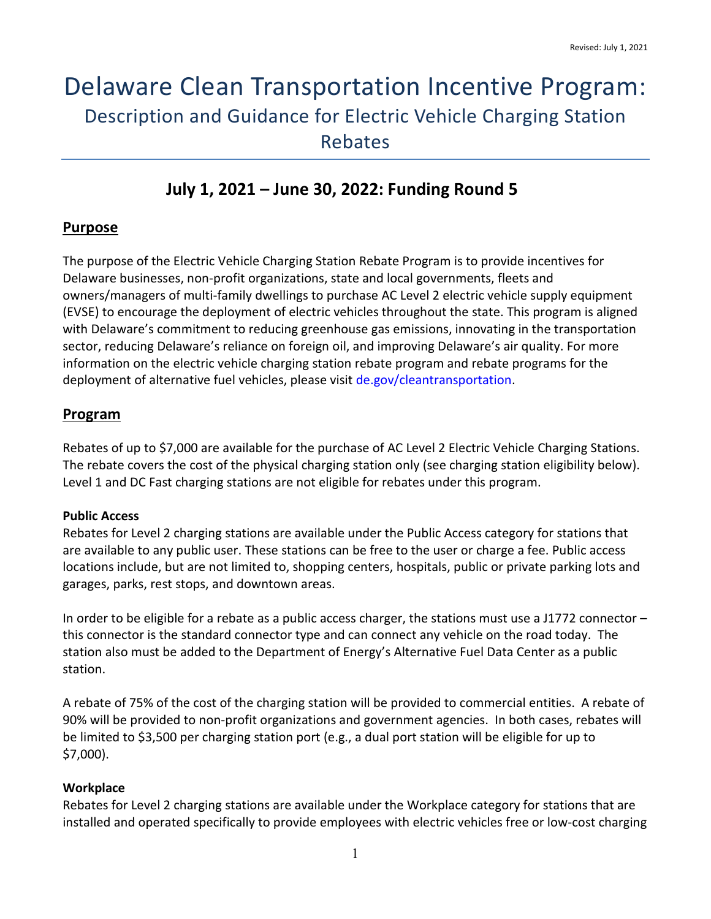# Delaware Clean Transportation Incentive Program: Description and Guidance for Electric Vehicle Charging Station Rebates

# **July 1, 2021 – June 30, 2022: Funding Round 5**

## **Purpose**

The purpose of the Electric Vehicle Charging Station Rebate Program is to provide incentives for Delaware businesses, non-profit organizations, state and local governments, fleets and owners/managers of multi-family dwellings to purchase AC Level 2 electric vehicle supply equipment (EVSE) to encourage the deployment of electric vehicles throughout the state. This program is aligned with Delaware's commitment to reducing greenhouse gas emissions, innovating in the transportation sector, reducing Delaware's reliance on foreign oil, and improving Delaware's air quality. For more information on the electric vehicle charging station rebate program and rebate programs for the deployment of alternative fuel vehicles, please visit [de.gov/cleantransportation.](http://www.de.gov/cleantransportation)

# **Program**

Rebates of up to \$7,000 are available for the purchase of AC Level 2 Electric Vehicle Charging Stations. The rebate covers the cost of the physical charging station only (see charging station eligibility below). Level 1 and DC Fast charging stations are not eligible for rebates under this program.

#### **Public Access**

Rebates for Level 2 charging stations are available under the Public Access category for stations that are available to any public user. These stations can be free to the user or charge a fee. Public access locations include, but are not limited to, shopping centers, hospitals, public or private parking lots and garages, parks, rest stops, and downtown areas.

In order to be eligible for a rebate as a public access charger, the stations must use a J1772 connector – this connector is the standard connector type and can connect any vehicle on the road today. The station also must be added to the Department of Energy's Alternative Fuel Data Center as a public station.

A rebate of 75% of the cost of the charging station will be provided to commercial entities. A rebate of 90% will be provided to non-profit organizations and government agencies. In both cases, rebates will be limited to \$3,500 per charging station port (e.g., a dual port station will be eligible for up to \$7,000).

#### **Workplace**

Rebates for Level 2 charging stations are available under the Workplace category for stations that are installed and operated specifically to provide employees with electric vehicles free or low-cost charging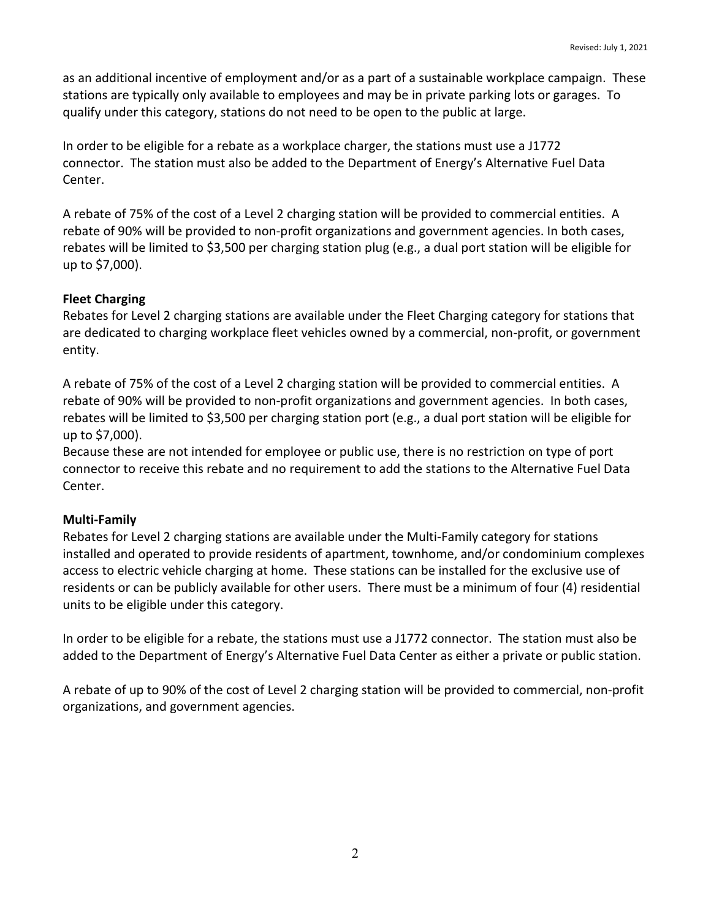as an additional incentive of employment and/or as a part of a sustainable workplace campaign. These stations are typically only available to employees and may be in private parking lots or garages. To qualify under this category, stations do not need to be open to the public at large.

In order to be eligible for a rebate as a workplace charger, the stations must use a J1772 connector. The station must also be added to the Department of Energy's Alternative Fuel Data Center.

A rebate of 75% of the cost of a Level 2 charging station will be provided to commercial entities. A rebate of 90% will be provided to non-profit organizations and government agencies. In both cases, rebates will be limited to \$3,500 per charging station plug (e.g., a dual port station will be eligible for up to \$7,000).

#### **Fleet Charging**

Rebates for Level 2 charging stations are available under the Fleet Charging category for stations that are dedicated to charging workplace fleet vehicles owned by a commercial, non-profit, or government entity.

A rebate of 75% of the cost of a Level 2 charging station will be provided to commercial entities. A rebate of 90% will be provided to non-profit organizations and government agencies. In both cases, rebates will be limited to \$3,500 per charging station port (e.g., a dual port station will be eligible for up to \$7,000).

Because these are not intended for employee or public use, there is no restriction on type of port connector to receive this rebate and no requirement to add the stations to the Alternative Fuel Data Center.

#### **Multi-Family**

Rebates for Level 2 charging stations are available under the Multi-Family category for stations installed and operated to provide residents of apartment, townhome, and/or condominium complexes access to electric vehicle charging at home. These stations can be installed for the exclusive use of residents or can be publicly available for other users. There must be a minimum of four (4) residential units to be eligible under this category.

In order to be eligible for a rebate, the stations must use a J1772 connector. The station must also be added to the Department of Energy's Alternative Fuel Data Center as either a private or public station.

A rebate of up to 90% of the cost of Level 2 charging station will be provided to commercial, non-profit organizations, and government agencies.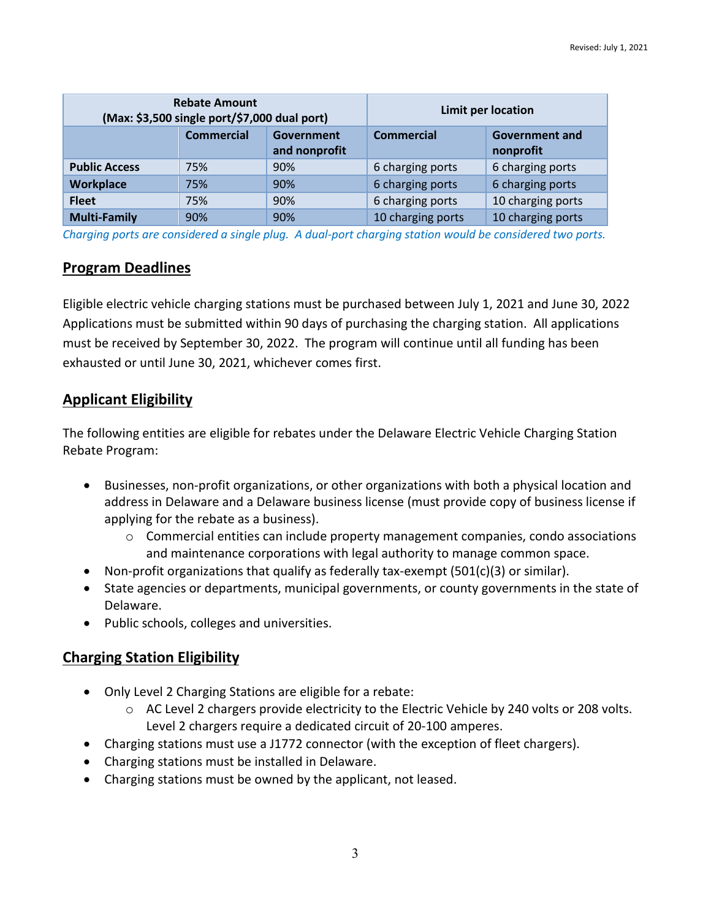| <b>Rebate Amount</b><br>(Max: \$3,500 single port/\$7,000 dual port) |                   |                             | Limit per location |                                    |
|----------------------------------------------------------------------|-------------------|-----------------------------|--------------------|------------------------------------|
|                                                                      | <b>Commercial</b> | Government<br>and nonprofit | <b>Commercial</b>  | <b>Government and</b><br>nonprofit |
| <b>Public Access</b>                                                 | 75%               | 90%                         | 6 charging ports   | 6 charging ports                   |
| <b>Workplace</b>                                                     | 75%               | 90%                         | 6 charging ports   | 6 charging ports                   |
| <b>Fleet</b>                                                         | 75%               | 90%                         | 6 charging ports   | 10 charging ports                  |
| <b>Multi-Family</b>                                                  | 90%               | 90%                         | 10 charging ports  | 10 charging ports                  |

*Charging ports are considered a single plug. A dual-port charging station would be considered two ports.* 

## **Program Deadlines**

Eligible electric vehicle charging stations must be purchased between July 1, 2021 and June 30, 2022 Applications must be submitted within 90 days of purchasing the charging station. All applications must be received by September 30, 2022. The program will continue until all funding has been exhausted or until June 30, 2021, whichever comes first.

# **Applicant Eligibility**

The following entities are eligible for rebates under the Delaware Electric Vehicle Charging Station Rebate Program:

- Businesses, non-profit organizations, or other organizations with both a physical location and address in Delaware and a Delaware business license (must provide copy of business license if applying for the rebate as a business).
	- $\circ$  Commercial entities can include property management companies, condo associations and maintenance corporations with legal authority to manage common space.
- Non-profit organizations that qualify as federally tax-exempt  $(501(c)(3)$  or similar).
- State agencies or departments, municipal governments, or county governments in the state of Delaware.
- Public schools, colleges and universities.

# **Charging Station Eligibility**

- Only Level 2 Charging Stations are eligible for a rebate:
	- $\circ$  AC Level 2 chargers provide electricity to the Electric Vehicle by 240 volts or 208 volts. Level 2 chargers require a dedicated circuit of 20-100 amperes.
- Charging stations must use a J1772 connector (with the exception of fleet chargers).
- Charging stations must be installed in Delaware.
- Charging stations must be owned by the applicant, not leased.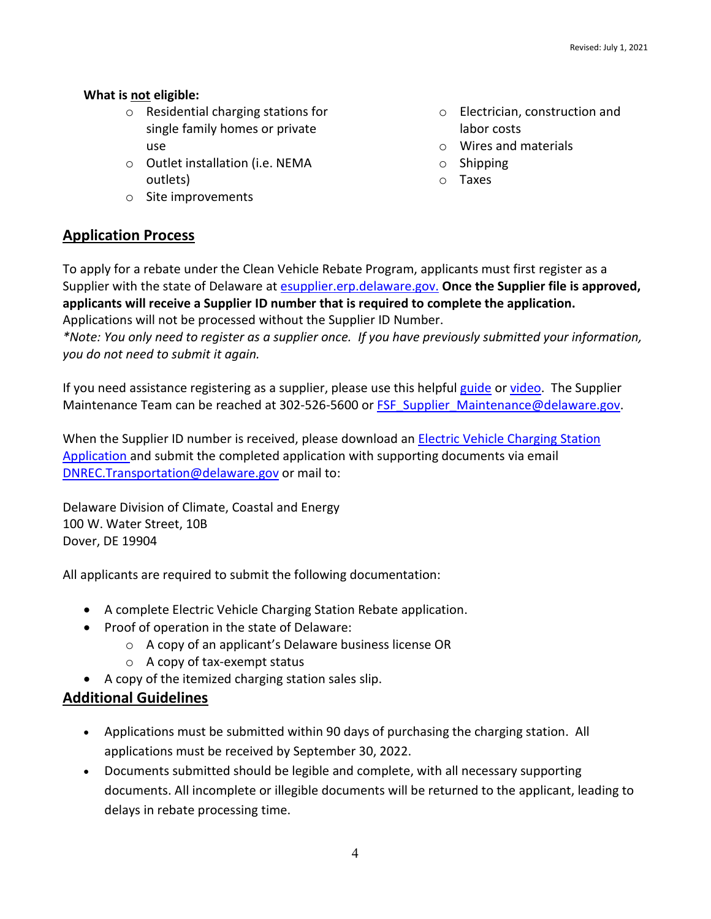#### **What is not eligible:**

- o Residential charging stations for single family homes or private use
- o Outlet installation (i.e. NEMA outlets)
- o Site improvements

# **Application Process**

To apply for a rebate under the Clean Vehicle Rebate Program, applicants must first register as a Supplier with the state of Delaware at [esupplier.erp.delaware.gov.](https://esupplier.erp.delaware.gov/psc/fn92pdesup/SUPPLIER/ERP/c/NUI_FRAMEWORK.PT_LANDINGPAGE.GBL) **Once the Supplier file is approved, applicants will receive a Supplier ID number that is required to complete the application.** Applications will not be processed without the Supplier ID Number.

*\*Note: You only need to register as a supplier once. If you have previously submitted your information, you do not need to submit it again.* 

If you need assistance registering as a supplier, please use this helpful [guide](https://esupplier.erp.delaware.gov/fn92pdesup/help_guides/Supplier_New_Registration_Guide.pdf) or [video.](https://www.youtube.com/watch?v=dTGAaEfBEEw&feature=youtu.be) The Supplier Maintenance Team can be reached at 302-526-5600 or **FSF\_Supplier\_Maintenance@delaware.gov.** 

When the Supplier ID number is received, please download an **Electric Vehicle Charging Station** [Application](http://www.dnrec.delaware.gov/energy/Documents/Transportation%20Program/Clean%20Transportation%20Updates/EVSE-FR4-Rebate-Application-for-all.pdf) and submit the completed application with supporting documents via email [DNREC.Transportation@delaware.gov](mailto:DNREC.Transportation@delaware.gov) or mail to:

Delaware Division of Climate, Coastal and Energy 100 W. Water Street, 10B Dover, DE 19904

All applicants are required to submit the following documentation:

- A complete Electric Vehicle Charging Station Rebate application.
- Proof of operation in the state of Delaware:
	- o A copy of an applicant's Delaware business license OR
	- $\circ$  A copy of tax-exempt status
- A copy of the itemized charging station sales slip.

# **Additional Guidelines**

- Applications must be submitted within 90 days of purchasing the charging station. All applications must be received by September 30, 2022.
- Documents submitted should be legible and complete, with all necessary supporting documents. All incomplete or illegible documents will be returned to the applicant, leading to delays in rebate processing time.
- o Electrician, construction and labor costs
- o Wires and materials
- $\circ$  Shipping
- o Taxes